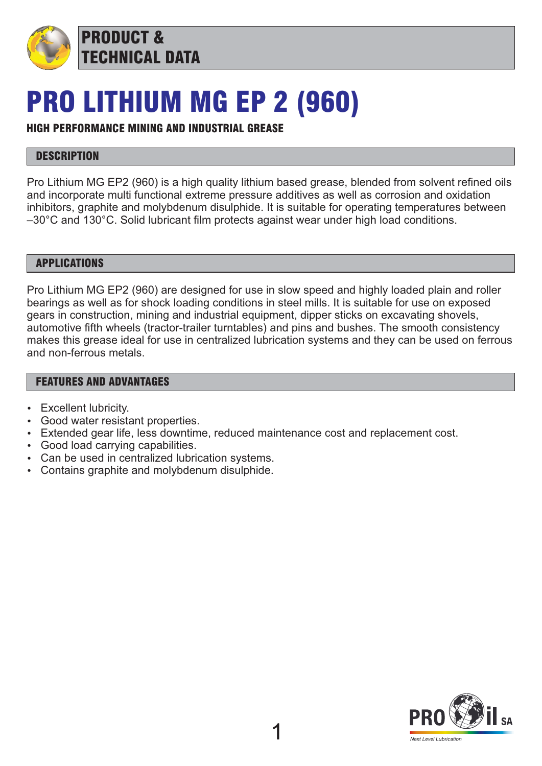

PRODUCT & TECHNICAL DATA

## PRO LITHIUM MG EP 2 (960)

### HIGH PERFORMANCE MINING AND INDUSTRIAL GREASE

### **DESCRIPTION**

Pro Lithium MG EP2 (960) is a high quality lithium based grease, blended from solvent refined oils and incorporate multi functional extreme pressure additives as well as corrosion and oxidation inhibitors, graphite and molybdenum disulphide. It is suitable for operating temperatures between –30°C and 130°C. Solid lubricant film protects against wear under high load conditions.

#### APPLICATIONS

Pro Lithium MG EP2 (960) are designed for use in slow speed and highly loaded plain and roller bearings as well as for shock loading conditions in steel mills. It is suitable for use on exposed gears in construction, mining and industrial equipment, dipper sticks on excavating shovels, automotive fifth wheels (tractor-trailer turntables) and pins and bushes. The smooth consistency makes this grease ideal for use in centralized lubrication systems and they can be used on ferrous and non-ferrous metals.

#### FEATURES AND ADVANTAGES

- Excellent lubricity.
- Good water resistant properties.
- Extended gear life, less downtime, reduced maintenance cost and replacement cost.
- Good load carrying capabilities.
- Can be used in centralized lubrication systems.
- Contains graphite and molybdenum disulphide.